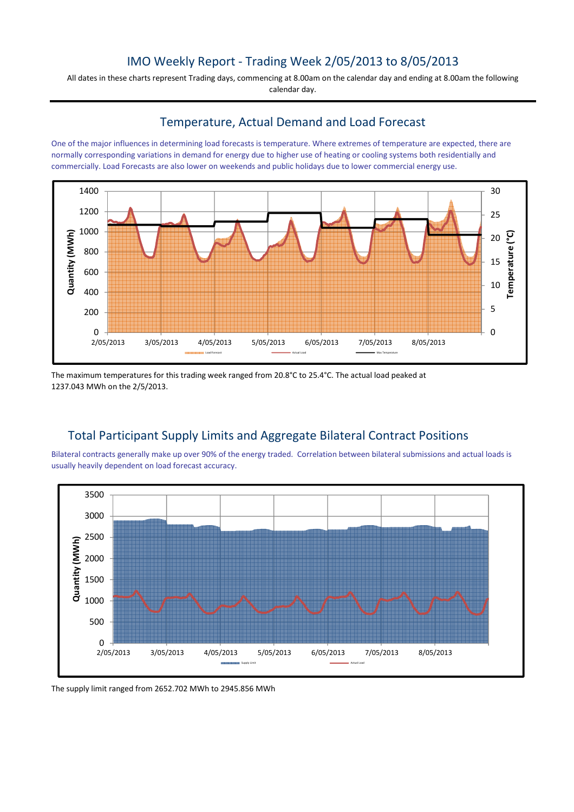## IMO Weekly Report - Trading Week 2/05/2013 to 8/05/2013

All dates in these charts represent Trading days, commencing at 8.00am on the calendar day and ending at 8.00am the following calendar day.

#### Temperature, Actual Demand and Load Forecast

One of the major influences in determining load forecasts is temperature. Where extremes of temperature are expected, there are normally corresponding variations in demand for energy due to higher use of heating or cooling systems both residentially and commercially. Load Forecasts are also lower on weekends and public holidays due to lower commercial energy use.



The maximum temperatures for this trading week ranged from 20.8°C to 25.4°C. The actual load peaked at 1237.043 MWh on the 2/5/2013.

# Total Participant Supply Limits and Aggregate Bilateral Contract Positions

Bilateral contracts generally make up over 90% of the energy traded. Correlation between bilateral submissions and actual loads is usually heavily dependent on load forecast accuracy.



The supply limit ranged from 2652.702 MWh to 2945.856 MWh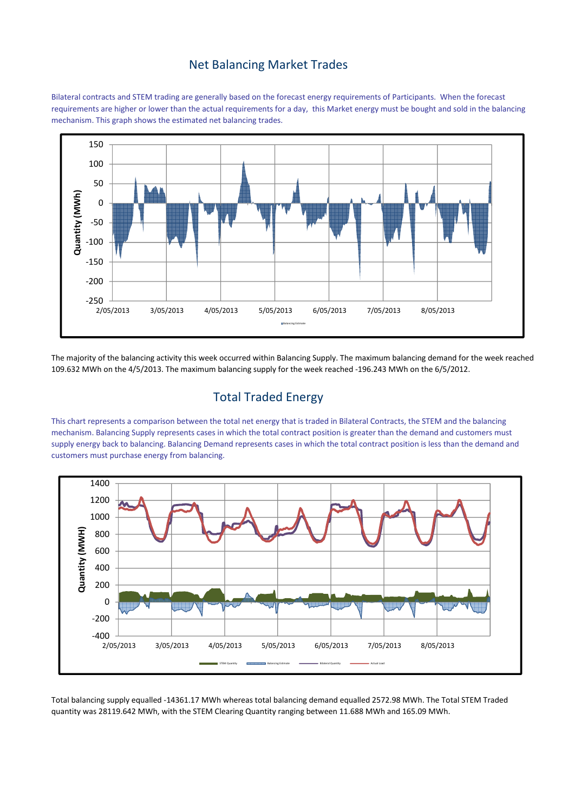#### Net Balancing Market Trades

Bilateral contracts and STEM trading are generally based on the forecast energy requirements of Participants. When the forecast requirements are higher or lower than the actual requirements for a day, this Market energy must be bought and sold in the balancing mechanism. This graph shows the estimated net balancing trades.



The majority of the balancing activity this week occurred within Balancing Supply. The maximum balancing demand for the week reached 109.632 MWh on the 4/5/2013. The maximum balancing supply for the week reached -196.243 MWh on the 6/5/2012.

# Total Traded Energy

This chart represents a comparison between the total net energy that is traded in Bilateral Contracts, the STEM and the balancing mechanism. Balancing Supply represents cases in which the total contract position is greater than the demand and customers must supply energy back to balancing. Balancing Demand represents cases in which the total contract position is less than the demand and customers must purchase energy from balancing.



Total balancing supply equalled -14361.17 MWh whereas total balancing demand equalled 2572.98 MWh. The Total STEM Traded quantity was 28119.642 MWh, with the STEM Clearing Quantity ranging between 11.688 MWh and 165.09 MWh.